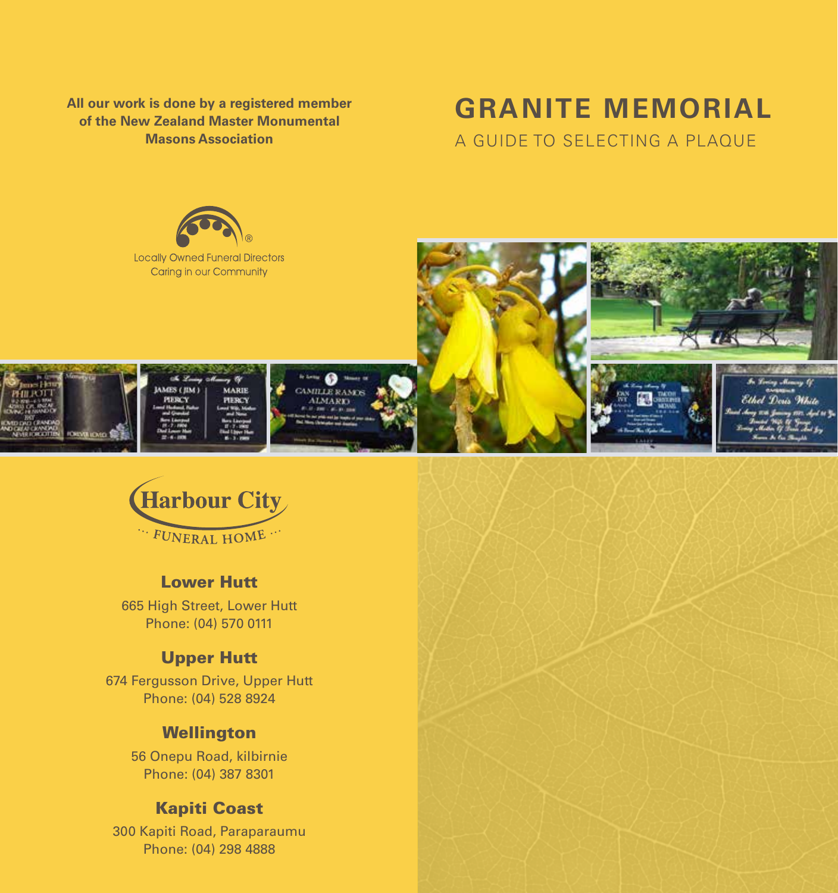**All our work is done by a registered member of the New Zealand Master Monumental Masons Association**

# **GRANITE MEMORIAL**

A GUIDE TO SELECTING A PLAQUE





#### Lower Hutt

665 High Street, Lower Hutt Phone: (04) 570 0111

#### Upper Hutt

674 Fergusson Drive, Upper Hutt Phone: (04) 528 8924

#### **Wellington**

56 Onepu Road, kilbirnie Phone: (04) 387 8301

### Kapiti Coast

300 Kapiti Road, Paraparaumu Phone: (04) 298 4888